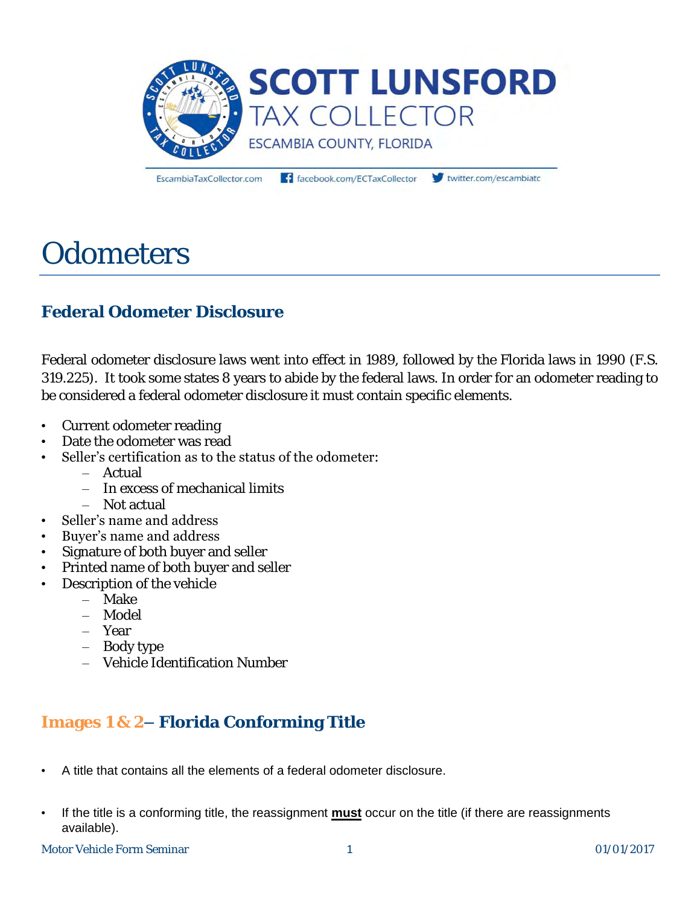

EscambiaTaxCollector.com

facebook.com/ECTaxCollector

twitter.com/escambiato

# **Odometers**

## **Federal Odometer Disclosure**

Federal odometer disclosure laws went into effect in 1989, followed by the Florida laws in 1990 (F.S. 319.225). It took some states 8 years to abide by the federal laws. In order for an odometer reading to be considered a federal odometer disclosure it must contain specific elements.

- Current odometer reading
- Date the odometer was read
- Seller's certification as to the status of the odometer:
	- Actual
	- In excess of mechanical limits
	- Not actual
- Seller's name and address
- Buyer's name and address
- Signature of both buyer and seller
- Printed name of both buyer and seller
- Description of the vehicle
	- Make
	- Model
	- Year
	- Body type
	- Vehicle Identification Number

## **Images 1 & 2– Florida Conforming Title**

- A title that contains all the elements of a federal odometer disclosure.
- If the title is a conforming title, the reassignment **must** occur on the title (if there are reassignments available).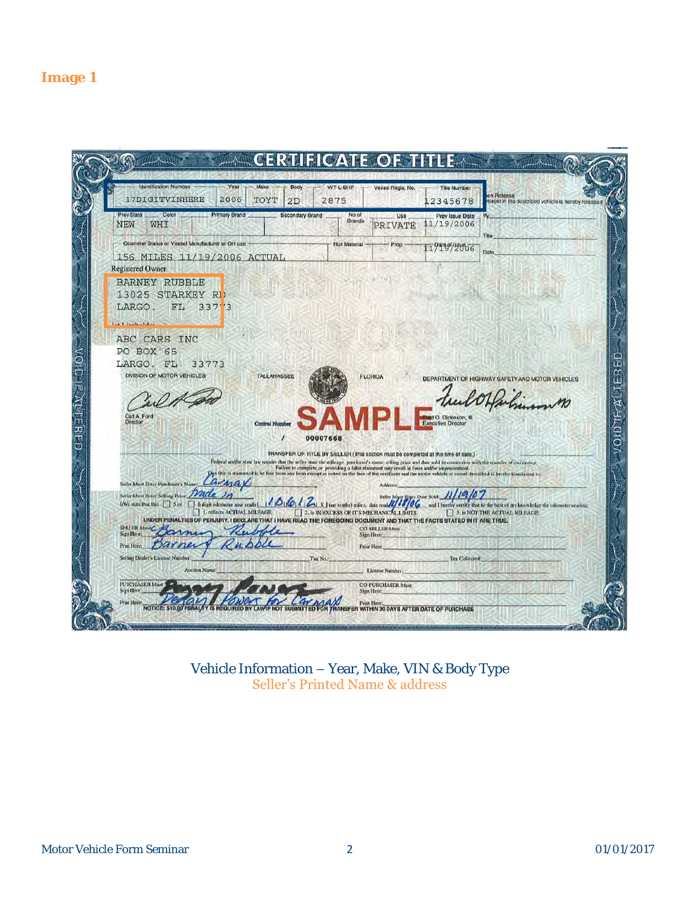

Vehicle Information – Year, Make, VIN & Body Type Seller's Printed Name & address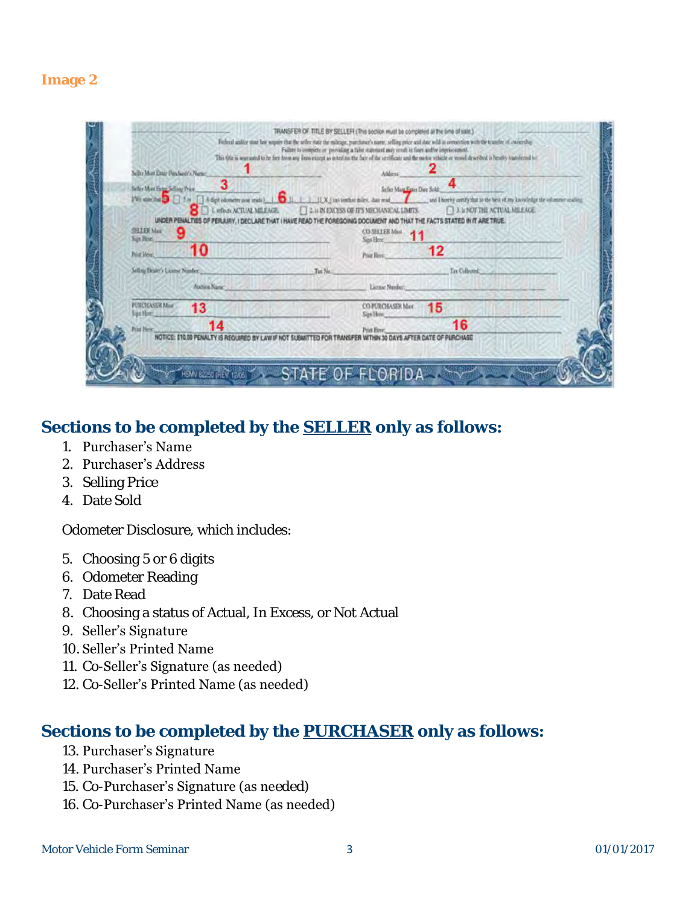### **Image 2**

| Sellite Must Einer Parchauft's Numer<br>3 |                                                                                                                         | Address                        |                |
|-------------------------------------------|-------------------------------------------------------------------------------------------------------------------------|--------------------------------|----------------|
| Seller Most Feter Selling Price           |                                                                                                                         | Seller Mara Fater Dute Sold    |                |
|                                           | A Lefter ACTUAL MILEAGE [2 & IN EXCESS OF IT'S MECHANICAL LIMITS ] 3. & NOT THE ACTUAL MILEAGE                          |                                |                |
|                                           | UNDER PENALTIES OF PERJURY, I DECLARE THAT I HAVE READ THE FOREGOING DOCUMENT AND THAT THE FACTS STATED IN IT ARE TRUE. |                                |                |
| SHIDI Mac<br>Sugn Heyes                   | Sina Here                                                                                                               | CO-SELLER Mast 11              |                |
| 10<br>Print Heye.                         | Print Blove:                                                                                                            | 12                             |                |
| Selling Dealer's License Number           | Tax No.                                                                                                                 |                                | Tax Collective |
| Audiou Name: 1999 - 1999 - 1999 - 1999    |                                                                                                                         | Elerase Number:                |                |
| <b>PURCHASER Man</b><br>13<br>Sur Hot :   | San Here:                                                                                                               | <b>CO-PURCHASER Mart</b><br>15 |                |
| 14<br>Print Meine                         | Print Here:                                                                                                             |                                | 16             |

## **Sections to be completed by the** *SELLER* **only as follows:**

- 1. Purchaser's Name
- 2. Purchaser's Address
- 3. Selling Price
- 4. Date Sold

Odometer Disclosure, which includes:

- 5. Choosing 5 or 6 digits
- 6. Odometer Reading
- 7. Date Read
- 8. Choosing a status of Actual, In Excess, or Not Actual
- 9. Seller's Signature
- 10. Seller's Printed Name
- 11. Co-Seller's Signature (as needed)
- 12. Co-Seller's Printed Name (as needed)

## **Sections to be completed by the** *PURCHASER* **only as follows:**

- 13. Purchaser's Signature
- 14. Purchaser's Printed Name
- 15. Co-Purchaser's Signature (as needed)
- 16. Co-Purchaser's Printed Name (as needed)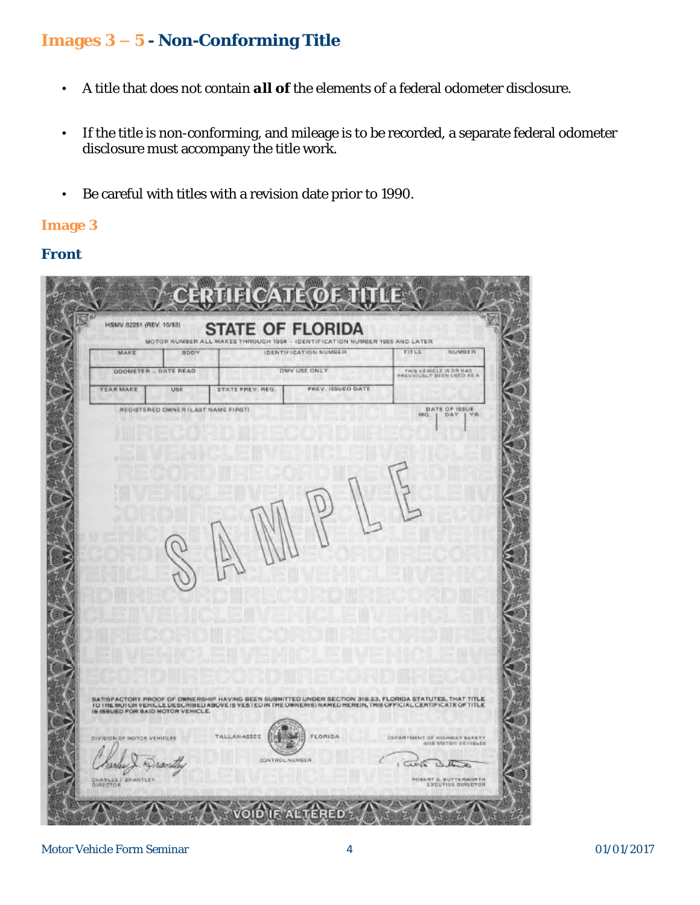## **Images 3 – 5 - Non-Conforming Title**

- A title that does not contain *all* **of** the elements of a federal odometer disclosure.
- If the title is non-conforming, and mileage is to be recorded, a separate federal odometer disclosure must accompany the title work.
- Be careful with titles with a revision date prior to 1990.

### **Image 3**

### **Front**

| YEAR MAKE | <b>ODOMETER - DATE READ</b><br>UBE | DMV USE ONLY<br>PREV. ISSUED DATE<br>STATE PREV. REG.                                                                                                                                                                                | THIS VEHICLE IS ON HAS |
|-----------|------------------------------------|--------------------------------------------------------------------------------------------------------------------------------------------------------------------------------------------------------------------------------------|------------------------|
|           | REGISTERED OWNER (LAST NAME FIRST) |                                                                                                                                                                                                                                      | DATE OF IBBUE<br>W.BL  |
|           |                                    |                                                                                                                                                                                                                                      |                        |
|           |                                    |                                                                                                                                                                                                                                      |                        |
|           |                                    |                                                                                                                                                                                                                                      |                        |
|           |                                    |                                                                                                                                                                                                                                      |                        |
|           |                                    |                                                                                                                                                                                                                                      |                        |
|           |                                    |                                                                                                                                                                                                                                      |                        |
|           |                                    |                                                                                                                                                                                                                                      |                        |
|           |                                    |                                                                                                                                                                                                                                      |                        |
|           |                                    |                                                                                                                                                                                                                                      |                        |
|           |                                    |                                                                                                                                                                                                                                      |                        |
|           |                                    | SATISFACTORY, PROOF OF OWNERSHIP HAVING BEEN SUBMITTED UNDER SECTION 319.23, FLORIDA STATUTES, THAT TITLE<br>TO THE MOTUR VEHICLE DESCRIBED ABOVE IS VESTED IN THE OWNERIST NAMED HEREIN, THIS OFFICIAL CERTIFICATE OF TITLE<br>IS I |                        |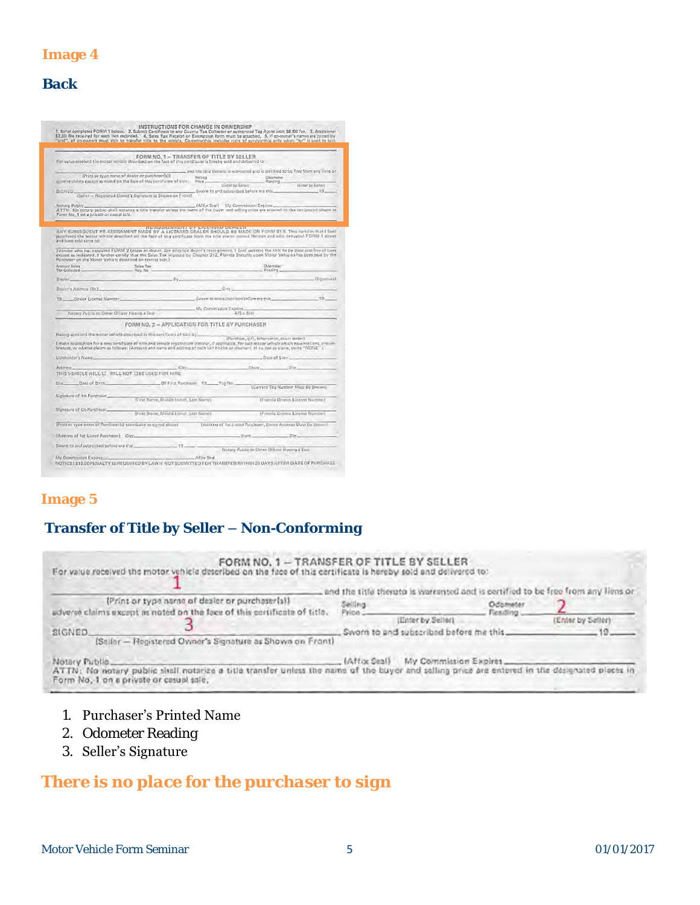| P. |  |
|----|--|

### **Back**

|                                                                                                                                                                                                                                                                                                |                                                                                                   | "and", all ed-owned must sign to transfer title to the vohicle, Co-ownership includes right of survivorship only when "or" is used to join |                                              |                                                                   |
|------------------------------------------------------------------------------------------------------------------------------------------------------------------------------------------------------------------------------------------------------------------------------------------------|---------------------------------------------------------------------------------------------------|--------------------------------------------------------------------------------------------------------------------------------------------|----------------------------------------------|-------------------------------------------------------------------|
|                                                                                                                                                                                                                                                                                                |                                                                                                   |                                                                                                                                            |                                              |                                                                   |
| For velocited the night vehicle described on the fact of this certificate is hareby sold and delivered to                                                                                                                                                                                      | FORM NO. 1-TRANSFER OF TITLE BY SELLER                                                            |                                                                                                                                            |                                              |                                                                   |
|                                                                                                                                                                                                                                                                                                |                                                                                                   | and the title threato is warranted and is certified to be free from any lions or                                                           |                                              |                                                                   |
|                                                                                                                                                                                                                                                                                                | (Print or type nome of dealer or purchaser[s])                                                    | <b>Telling</b>                                                                                                                             | Committee                                    |                                                                   |
| adverse clears except as noted on the face of this certificate of title.                                                                                                                                                                                                                       |                                                                                                   | $Prica$ .<br>CHIEF by Sollett                                                                                                              | Fleeding_                                    | (Enlar by Sollar)                                                 |
| SIGNED.                                                                                                                                                                                                                                                                                        | (Sality - Registered Dwnor's Signature as Shown on Front)                                         | Sworn to and subscribed before ma this                                                                                                     |                                              | $-19$                                                             |
|                                                                                                                                                                                                                                                                                                |                                                                                                   |                                                                                                                                            |                                              |                                                                   |
| Notare Public<br>ATTN: No notary public shall notarize a title transfer unless the name of the buyer and selling price are entered in the deciminated places in                                                                                                                                |                                                                                                   | (Affix Stal) My Commission Expires                                                                                                         |                                              |                                                                   |
| Form No. 1 on a private or casual sole.                                                                                                                                                                                                                                                        |                                                                                                   |                                                                                                                                            |                                              |                                                                   |
|                                                                                                                                                                                                                                                                                                |                                                                                                   |                                                                                                                                            |                                              |                                                                   |
| ANY SUBSEQUENT RE-ASSIGNMENT MADE BY A LICENSED DEALER SHOULD BE MADE ON FORM \$1.0. This certifies that I livel                                                                                                                                                                               |                                                                                                   | <b>http://www.marrisoft.com/contract/contract/</b>                                                                                         |                                              |                                                                   |
| putchased the mater urbicle described on the face of this certificate from the title owner named thereon and who trengted FDAM 1 above<br>and have sold same to:                                                                                                                               |                                                                                                   |                                                                                                                                            |                                              |                                                                   |
| [Vendos who has executed FDRM 2 below or dealer, See attached dealer's reaspgament. I livel warrant the title to be clear and free of times                                                                                                                                                    |                                                                                                   |                                                                                                                                            |                                              |                                                                   |
| excisit as indicated, I forever certify that the Sales Tax imposed by Chapter 212, Florida Statutes upon Motor Vehicles has been paid by the<br>Furchaser on the Motor Vehicle described on reverse side.)                                                                                     |                                                                                                   |                                                                                                                                            |                                              |                                                                   |
| Arrestel Sales<br>Thx Collected-                                                                                                                                                                                                                                                               |                                                                                                   |                                                                                                                                            | Oderridge<br>Reading                         |                                                                   |
|                                                                                                                                                                                                                                                                                                | $-99$                                                                                             |                                                                                                                                            |                                              |                                                                   |
| Dealer.                                                                                                                                                                                                                                                                                        |                                                                                                   |                                                                                                                                            |                                              | $-$ ISibushurat                                                   |
| Bealer's Address (St.)                                                                                                                                                                                                                                                                         |                                                                                                   | $C_V$                                                                                                                                      |                                              |                                                                   |
| 19 Coulor Liberale Namber 19 Savoir to and subscribed before methy 19 19 19                                                                                                                                                                                                                    |                                                                                                   |                                                                                                                                            |                                              |                                                                   |
|                                                                                                                                                                                                                                                                                                |                                                                                                   | My Commission Expires                                                                                                                      |                                              |                                                                   |
| Notary Public or Other Officer Having a Stul                                                                                                                                                                                                                                                   |                                                                                                   |                                                                                                                                            | Aftix Son                                    |                                                                   |
|                                                                                                                                                                                                                                                                                                | FORM NO. 2 - APPLICATION FOR TITLE BY PURCHASER                                                   |                                                                                                                                            |                                              |                                                                   |
| Having accured the motor vehicle deterioed in this certification faite by                                                                                                                                                                                                                      |                                                                                                   |                                                                                                                                            |                                              |                                                                   |
| I make application for a new certificate of title and vehicle resistation translar, if applicable, for said mosar vehicle which now hed into move-<br>brances, or adverse claims as follows: (Ambunt and name and addites of each list holder or claiment, if we fire or plaim, write "NUNE" ( |                                                                                                   |                                                                                                                                            | (Purchase, e.ft, inheritance, zours ander)   |                                                                   |
|                                                                                                                                                                                                                                                                                                |                                                                                                   |                                                                                                                                            | Date of Liser                                |                                                                   |
| LSinholder's Name                                                                                                                                                                                                                                                                              |                                                                                                   |                                                                                                                                            |                                              |                                                                   |
| Address.                                                                                                                                                                                                                                                                                       | City                                                                                              |                                                                                                                                            | 206                                          |                                                                   |
| THIS VEHICLE WILL LI WILL NOT LIBE USED FOR HIRE                                                                                                                                                                                                                                               |                                                                                                   |                                                                                                                                            |                                              |                                                                   |
| Data of Birth<br>SHE                                                                                                                                                                                                                                                                           |                                                                                                   | Of First Purchaser 19 Tsg No.                                                                                                              |                                              | Current Too Number Must Be Shown                                  |
|                                                                                                                                                                                                                                                                                                |                                                                                                   |                                                                                                                                            |                                              |                                                                   |
| Signature of 1st Purchaser                                                                                                                                                                                                                                                                     | (First Name, Middle Initial, Last Name).                                                          |                                                                                                                                            |                                              | (Francia Diriyors License Number)                                 |
| Slansture of Co-Purchaser                                                                                                                                                                                                                                                                      |                                                                                                   |                                                                                                                                            |                                              |                                                                   |
|                                                                                                                                                                                                                                                                                                | (Financia Division Medical Antium Last Neuron) [ Transition of Contracts Constant Division Neuron |                                                                                                                                            |                                              |                                                                   |
| (Print or systemams of Purchass (a) identically as signed above)                                                                                                                                                                                                                               |                                                                                                   |                                                                                                                                            |                                              | TAddress of Tat Listrich Purchaser, Smith Address Must Be Simwril |
| (Address of Tet Listed Parishmen) City                                                                                                                                                                                                                                                         |                                                                                                   |                                                                                                                                            | $5!485$ $7!67$                               |                                                                   |
|                                                                                                                                                                                                                                                                                                | $19 - 19$                                                                                         |                                                                                                                                            |                                              |                                                                   |
| Sworn to and subrenbed before me that                                                                                                                                                                                                                                                          |                                                                                                   |                                                                                                                                            | Notary Public or Other Officer Having & Seal |                                                                   |
| My Commission Expires                                                                                                                                                                                                                                                                          |                                                                                                   | Afflix Snal                                                                                                                                |                                              |                                                                   |

### **Image 5**

## **Transfer of Title by Seller – Non-Conforming**

|               |                                                                          |          | and the title therato is warranted and is certified to be free from any liens or |          |                   |
|---------------|--------------------------------------------------------------------------|----------|----------------------------------------------------------------------------------|----------|-------------------|
|               | (Print or type name of dealer or purchaser(s))                           | Selling  |                                                                                  | Odometer |                   |
|               | adverse claims except as noted on the face of this certificate of title. | Price :- | Reading<br>(Enter by Seller)                                                     |          | (Enter by Satien) |
| SIGNED.       |                                                                          |          | Sworn to and subscribed before me this                                           |          |                   |
|               | (Sailor - Registered Owner's Signature as Shown on Front)                |          |                                                                                  |          |                   |
| Notary Public | [Affix Seal]                                                             |          | My Commission Expires                                                            |          |                   |

### 1. Purchaser's Printed Name

- 2. Odometer Reading
- 3. Seller's Signature

## *There is no place for the purchaser to sign*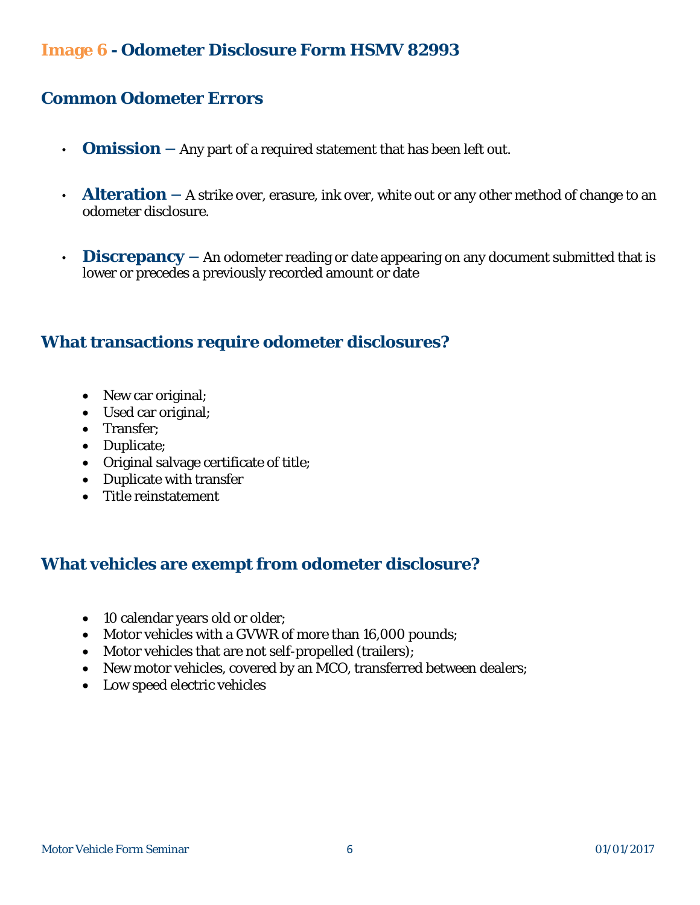## **Common Odometer Errors**

- **Omission –** Any part of a required statement that has been left out.
- Alteration A strike over, erasure, ink over, white out or any other method of change to an odometer disclosure.
- **Discrepancy –** An odometer reading or date appearing on any document submitted that is lower or precedes a previously recorded amount or date

### **What transactions require odometer disclosures?**

- New car original;
- Used car original;
- Transfer:
- Duplicate;
- Original salvage certificate of title;
- Duplicate with transfer
- Title reinstatement

## **What vehicles are exempt from odometer disclosure?**

- 10 calendar years old or older;
- Motor vehicles with a GVWR of more than 16,000 pounds;
- Motor vehicles that are not self-propelled (trailers);
- New motor vehicles, covered by an MCO, transferred between dealers;
- Low speed electric vehicles